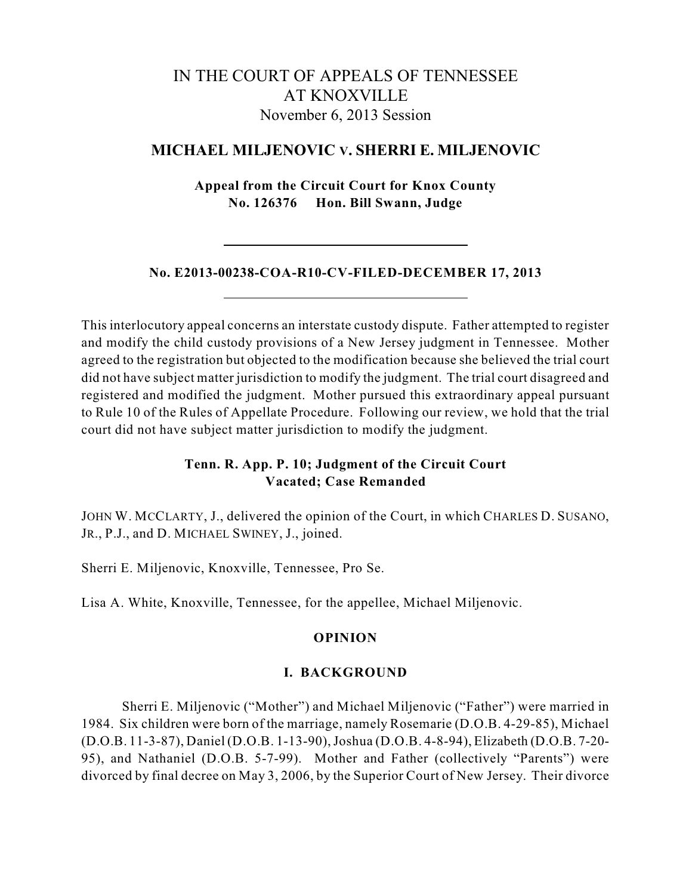# IN THE COURT OF APPEALS OF TENNESSEE AT KNOXVILLE November 6, 2013 Session

## **MICHAEL MILJENOVIC V. SHERRI E. MILJENOVIC**

**Appeal from the Circuit Court for Knox County No. 126376 Hon. Bill Swann, Judge**

## **No. E2013-00238-COA-R10-CV-FILED-DECEMBER 17, 2013**

This interlocutory appeal concerns an interstate custody dispute. Father attempted to register and modify the child custody provisions of a New Jersey judgment in Tennessee. Mother agreed to the registration but objected to the modification because she believed the trial court did not have subject matter jurisdiction to modify the judgment. The trial court disagreed and registered and modified the judgment. Mother pursued this extraordinary appeal pursuant to Rule 10 of the Rules of Appellate Procedure. Following our review, we hold that the trial court did not have subject matter jurisdiction to modify the judgment.

## **Tenn. R. App. P. 10; Judgment of the Circuit Court Vacated; Case Remanded**

JOHN W. MCCLARTY, J., delivered the opinion of the Court, in which CHARLES D. SUSANO, JR., P.J., and D. MICHAEL SWINEY, J., joined.

Sherri E. Miljenovic, Knoxville, Tennessee, Pro Se.

Lisa A. White, Knoxville, Tennessee, for the appellee, Michael Miljenovic.

## **OPINION**

#### **I. BACKGROUND**

Sherri E. Miljenovic ("Mother") and Michael Miljenovic ("Father") were married in 1984. Six children were born of the marriage, namely Rosemarie (D.O.B. 4-29-85), Michael (D.O.B. 11-3-87), Daniel (D.O.B. 1-13-90),Joshua (D.O.B. 4-8-94), Elizabeth (D.O.B. 7-20- 95), and Nathaniel (D.O.B. 5-7-99). Mother and Father (collectively "Parents") were divorced by final decree on May 3, 2006, by the Superior Court of New Jersey. Their divorce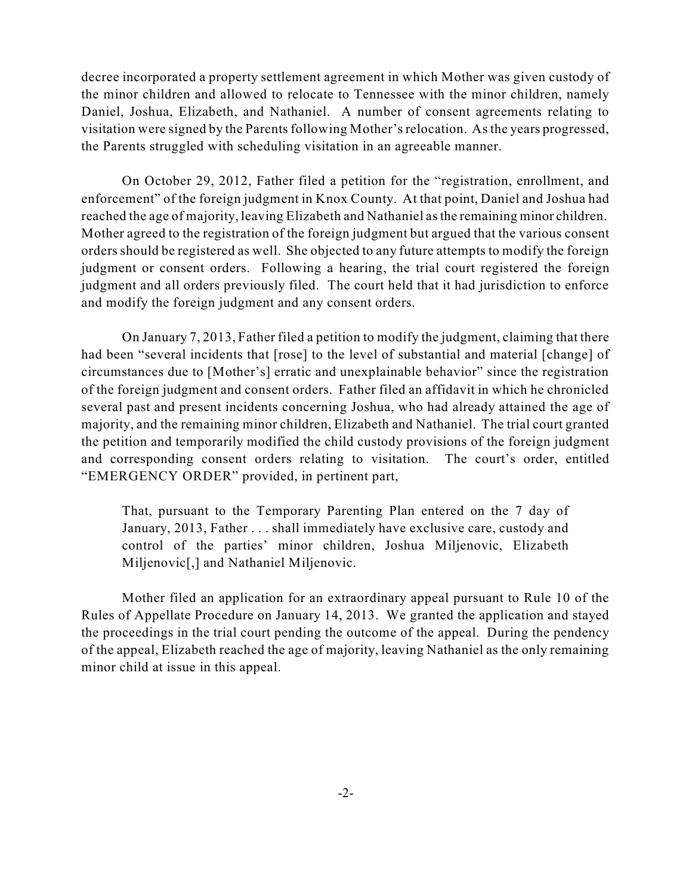decree incorporated a property settlement agreement in which Mother was given custody of the minor children and allowed to relocate to Tennessee with the minor children, namely Daniel, Joshua, Elizabeth, and Nathaniel. A number of consent agreements relating to visitation were signed by the Parents following Mother's relocation. As the years progressed, the Parents struggled with scheduling visitation in an agreeable manner.

On October 29, 2012, Father filed a petition for the "registration, enrollment, and enforcement" of the foreign judgment in Knox County. At that point, Daniel and Joshua had reached the age of majority, leaving Elizabeth and Nathaniel asthe remaining minor children. Mother agreed to the registration of the foreign judgment but argued that the various consent orders should be registered as well. She objected to any future attempts to modify the foreign judgment or consent orders. Following a hearing, the trial court registered the foreign judgment and all orders previously filed. The court held that it had jurisdiction to enforce and modify the foreign judgment and any consent orders.

On January 7, 2013, Father filed a petition to modify the judgment, claiming that there had been "several incidents that [rose] to the level of substantial and material [change] of circumstances due to [Mother's] erratic and unexplainable behavior" since the registration of the foreign judgment and consent orders. Father filed an affidavit in which he chronicled several past and present incidents concerning Joshua, who had already attained the age of majority, and the remaining minor children, Elizabeth and Nathaniel. The trial court granted the petition and temporarily modified the child custody provisions of the foreign judgment and corresponding consent orders relating to visitation. The court's order, entitled "EMERGENCY ORDER" provided, in pertinent part,

That, pursuant to the Temporary Parenting Plan entered on the 7 day of January, 2013, Father . . . shall immediately have exclusive care, custody and control of the parties' minor children, Joshua Miljenovic, Elizabeth Miljenovic[,] and Nathaniel Miljenovic.

Mother filed an application for an extraordinary appeal pursuant to Rule 10 of the Rules of Appellate Procedure on January 14, 2013. We granted the application and stayed the proceedings in the trial court pending the outcome of the appeal. During the pendency of the appeal, Elizabeth reached the age of majority, leaving Nathaniel as the only remaining minor child at issue in this appeal.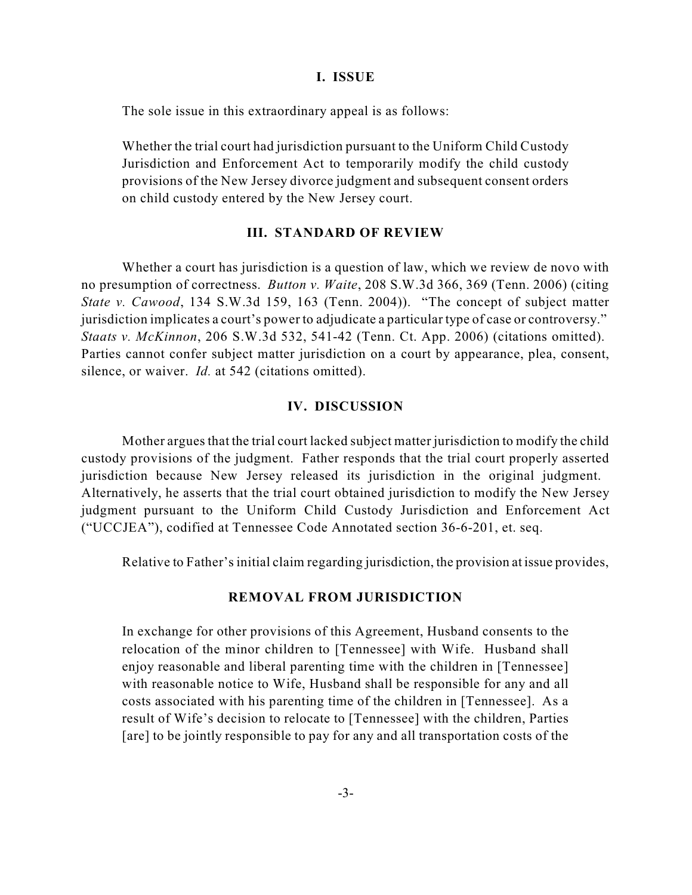#### **I. ISSUE**

The sole issue in this extraordinary appeal is as follows:

Whether the trial court had jurisdiction pursuant to the Uniform Child Custody Jurisdiction and Enforcement Act to temporarily modify the child custody provisions of the New Jersey divorce judgment and subsequent consent orders on child custody entered by the New Jersey court.

#### **III. STANDARD OF REVIEW**

Whether a court has jurisdiction is a question of law, which we review de novo with no presumption of correctness. *Button v. Waite*, 208 S.W.3d 366, 369 (Tenn. 2006) (citing *State v. Cawood*, 134 S.W.3d 159, 163 (Tenn. 2004)). "The concept of subject matter jurisdiction implicates a court's power to adjudicate a particular type of case or controversy." *Staats v. McKinnon*, 206 S.W.3d 532, 541-42 (Tenn. Ct. App. 2006) (citations omitted). Parties cannot confer subject matter jurisdiction on a court by appearance, plea, consent, silence, or waiver. *Id.* at 542 (citations omitted).

#### **IV. DISCUSSION**

Mother argues that the trial court lacked subject matter jurisdiction to modify the child custody provisions of the judgment. Father responds that the trial court properly asserted jurisdiction because New Jersey released its jurisdiction in the original judgment. Alternatively, he asserts that the trial court obtained jurisdiction to modify the New Jersey judgment pursuant to the Uniform Child Custody Jurisdiction and Enforcement Act ("UCCJEA"), codified at Tennessee Code Annotated section 36-6-201, et. seq.

Relative to Father's initial claim regarding jurisdiction, the provision at issue provides,

## **REMOVAL FROM JURISDICTION**

In exchange for other provisions of this Agreement, Husband consents to the relocation of the minor children to [Tennessee] with Wife. Husband shall enjoy reasonable and liberal parenting time with the children in [Tennessee] with reasonable notice to Wife, Husband shall be responsible for any and all costs associated with his parenting time of the children in [Tennessee]. As a result of Wife's decision to relocate to [Tennessee] with the children, Parties [are] to be jointly responsible to pay for any and all transportation costs of the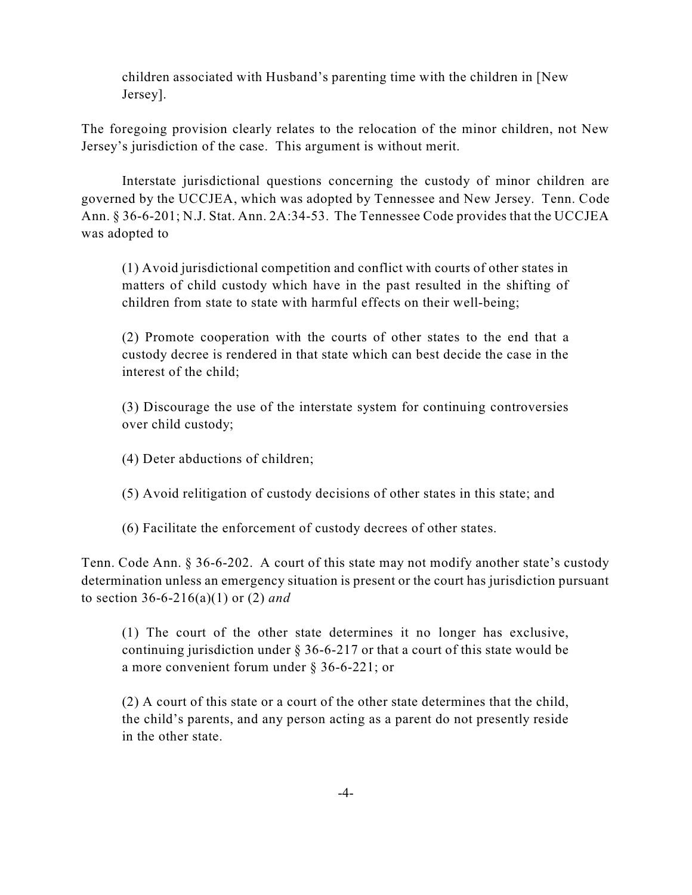children associated with Husband's parenting time with the children in [New Jersey].

The foregoing provision clearly relates to the relocation of the minor children, not New Jersey's jurisdiction of the case. This argument is without merit.

Interstate jurisdictional questions concerning the custody of minor children are governed by the UCCJEA, which was adopted by Tennessee and New Jersey. Tenn. Code Ann. § 36-6-201; N.J. Stat. Ann. 2A:34-53. The Tennessee Code provides that the UCCJEA was adopted to

(1) Avoid jurisdictional competition and conflict with courts of other states in matters of child custody which have in the past resulted in the shifting of children from state to state with harmful effects on their well-being;

(2) Promote cooperation with the courts of other states to the end that a custody decree is rendered in that state which can best decide the case in the interest of the child;

(3) Discourage the use of the interstate system for continuing controversies over child custody;

- (4) Deter abductions of children;
- (5) Avoid relitigation of custody decisions of other states in this state; and
- (6) Facilitate the enforcement of custody decrees of other states.

Tenn. Code Ann. § 36-6-202. A court of this state may not modify another state's custody determination unless an emergency situation is present or the court has jurisdiction pursuant to section 36-6-216(a)(1) or (2) *and*

(1) The court of the other state determines it no longer has exclusive, continuing jurisdiction under  $\S 36-6-217$  or that a court of this state would be a more convenient forum under § 36-6-221; or

(2) A court of this state or a court of the other state determines that the child, the child's parents, and any person acting as a parent do not presently reside in the other state.